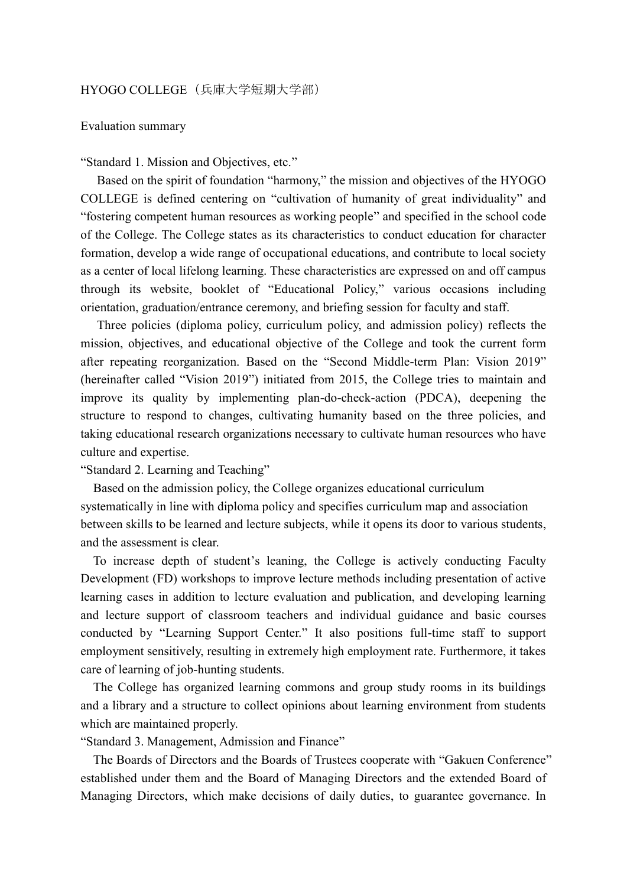## HYOGO COLLEGE (兵庫大学短期大学部)

## Evaluation summary

"Standard 1. Mission and Objectives, etc."

Based on the spirit of foundation "harmony," the mission and objectives of the HYOGO COLLEGE is defined centering on "cultivation of humanity of great individuality" and "fostering competent human resources as working people" and specified in the school code of the College. The College states as its characteristics to conduct education for character formation, develop a wide range of occupational educations, and contribute to local society as a center of local lifelong learning. These characteristics are expressed on and off campus through its website, booklet of "Educational Policy," various occasions including orientation, graduation/entrance ceremony, and briefing session for faculty and staff.

Three policies (diploma policy, curriculum policy, and admission policy) reflects the mission, objectives, and educational objective of the College and took the current form after repeating reorganization. Based on the "Second Middle-term Plan: Vision 2019" (hereinafter called "Vision 2019") initiated from 2015, the College tries to maintain and improve its quality by implementing plan-do-check-action (PDCA), deepening the structure to respond to changes, cultivating humanity based on the three policies, and taking educational research organizations necessary to cultivate human resources who have culture and expertise.

"Standard 2. Learning and Teaching"

Based on the admission policy, the College organizes educational curriculum systematically in line with diploma policy and specifies curriculum map and association between skills to be learned and lecture subjects, while it opens its door to various students, and the assessment is clear.

To increase depth of student's leaning, the College is actively conducting Faculty Development (FD) workshops to improve lecture methods including presentation of active learning cases in addition to lecture evaluation and publication, and developing learning and lecture support of classroom teachers and individual guidance and basic courses conducted by "Learning Support Center." It also positions full-time staff to support employment sensitively, resulting in extremely high employment rate. Furthermore, it takes care of learning of job-hunting students.

The College has organized learning commons and group study rooms in its buildings and a library and a structure to collect opinions about learning environment from students which are maintained properly.

"Standard 3. Management, Admission and Finance"

The Boards of Directors and the Boards of Trustees cooperate with "Gakuen Conference" established under them and the Board of Managing Directors and the extended Board of Managing Directors, which make decisions of daily duties, to guarantee governance. In